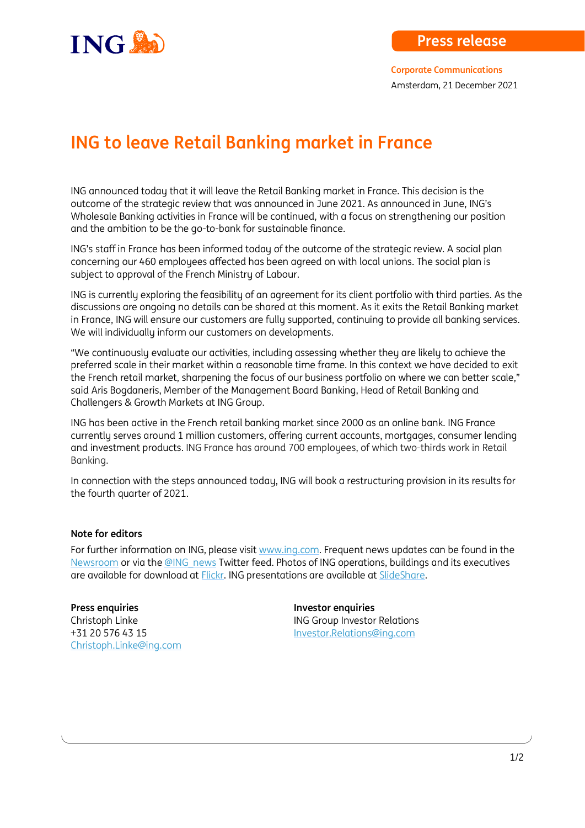

## **ING to leave Retail Banking market in France**

ING announced today that it will leave the Retail Banking market in France. This decision is the outcome of the strategic review that was announced in June 2021. As announced in June, ING's Wholesale Banking activities in France will be continued, with a focus on strengthening our position and the ambition to be the go-to-bank for sustainable finance.

ING's staff in France has been informed today of the outcome of the strategic review. A social plan concerning our 460 employees affected has been agreed on with local unions. The social plan is subject to approval of the French Ministry of Labour.

ING is currently exploring the feasibility of an agreement for its client portfolio with third parties. As the discussions are ongoing no details can be shared at this moment. As it exits the Retail Banking market in France, ING will ensure our customers are fullu supported, continuing to provide all banking services. We will individually inform our customers on developments.

"We continuously evaluate our activities, including assessing whether they are likely to achieve the preferred scale in their market within a reasonable time frame. In this context we have decided to exit the French retail market, sharpening the focus of our business portfolio on where we can better scale," said Aris Bogdaneris, Member of the Management Board Banking, Head of Retail Banking and Challengers & Growth Markets at ING Group.

ING has been active in the French retail banking market since 2000 as an online bank. ING France currently serves around 1 million customers, offering current accounts, mortgages, consumer lending and investment products. ING France has around 700 employees, of which two-thirds work in Retail Banking.

In connection with the steps announced today, ING will book a restructuring provision in its results for the fourth quarter of 2021.

## **Note for editors**

For further information on ING, please visi[t www.ing.com.](http://www.ing.com/) Frequent news updates can be found in the [Newsroom](http://www.ing.com/Newsroom.htm) or via th[e @ING\\_news](http://www.twitter.com/ing_news) Twitter feed. Photos of ING operations, buildings and its executives are available for download at [Flickr.](http://www.flickr.com/photos/inggroup) ING presentations are available at [SlideShare.](http://www.slideshare.net/ING/presentations)

**Press enquiries Press enquiries** [Christoph.Linke@ing.com](mailto:Christoph.Linke@ing.com)

Christoph Linke **Interpretent Christoph Linke** ING Group Investor Relations +31 20 576 43 15 [Investor.Relations@ing.com](mailto:Investor.Relations@ing.com)